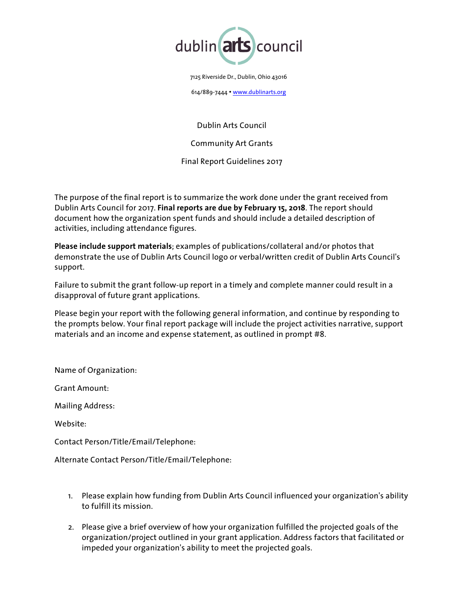

7125 Riverside Dr., Dublin, Ohio 43016

614/889-7444 • [www.dublinarts.org](http://www.dublinarts.org)

Dublin Arts Council

Community Art Grants

Final Report Guidelines 2017

The purpose of the final report is to summarize the work done under the grant received from Dublin Arts Council for 2017. **Final reports are due by February 15, 2018**. The report should document how the organization spent funds and should include a detailed description of activities, including attendance figures.

**Please include support materials**; examples of publications/collateral and/or photos that demonstrate the use of Dublin Arts Council logo or verbal/written credit of Dublin Arts Council's support.

Failure to submit the grant follow-up report in a timely and complete manner could result in a disapproval of future grant applications.

Please begin your report with the following general information, and continue by responding to the prompts below. Your final report package will include the project activities narrative, support materials and an income and expense statement, as outlined in prompt #8.

Name of Organization:

Grant Amount:

Mailing Address:

Website:

Contact Person/Title/Email/Telephone:

Alternate Contact Person/Title/Email/Telephone:

- 1. Please explain how funding from Dublin Arts Council influenced your organization's ability to fulfill its mission.
- 2. Please give a brief overview of how your organization fulfilled the projected goals of the organization/project outlined in your grant application. Address factors that facilitated or impeded your organization's ability to meet the projected goals.